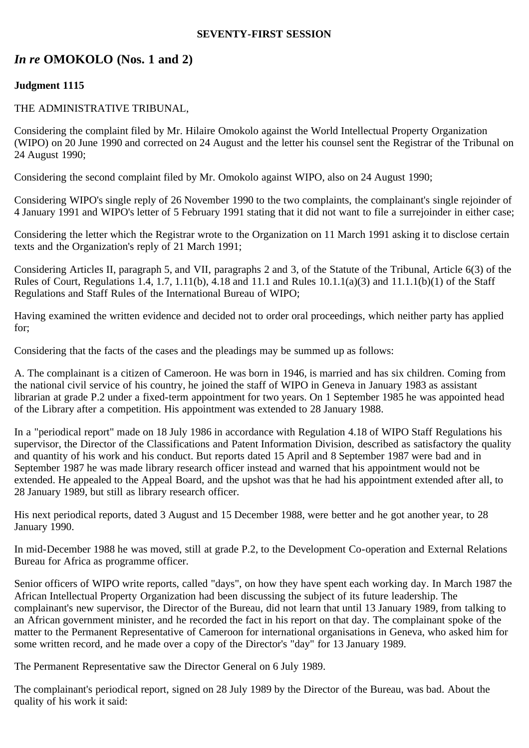#### **SEVENTY-FIRST SESSION**

# *In re* **OMOKOLO (Nos. 1 and 2)**

# **Judgment 1115**

#### THE ADMINISTRATIVE TRIBUNAL,

Considering the complaint filed by Mr. Hilaire Omokolo against the World Intellectual Property Organization (WIPO) on 20 June 1990 and corrected on 24 August and the letter his counsel sent the Registrar of the Tribunal on 24 August 1990;

Considering the second complaint filed by Mr. Omokolo against WIPO, also on 24 August 1990;

Considering WIPO's single reply of 26 November 1990 to the two complaints, the complainant's single rejoinder of 4 January 1991 and WIPO's letter of 5 February 1991 stating that it did not want to file a surrejoinder in either case;

Considering the letter which the Registrar wrote to the Organization on 11 March 1991 asking it to disclose certain texts and the Organization's reply of 21 March 1991;

Considering Articles II, paragraph 5, and VII, paragraphs 2 and 3, of the Statute of the Tribunal, Article 6(3) of the Rules of Court, Regulations 1.4, 1.7, 1.11(b), 4.18 and 11.1 and Rules 10.1.1(a)(3) and 11.1.1(b)(1) of the Staff Regulations and Staff Rules of the International Bureau of WIPO;

Having examined the written evidence and decided not to order oral proceedings, which neither party has applied for;

Considering that the facts of the cases and the pleadings may be summed up as follows:

A. The complainant is a citizen of Cameroon. He was born in 1946, is married and has six children. Coming from the national civil service of his country, he joined the staff of WIPO in Geneva in January 1983 as assistant librarian at grade P.2 under a fixed-term appointment for two years. On 1 September 1985 he was appointed head of the Library after a competition. His appointment was extended to 28 January 1988.

In a "periodical report" made on 18 July 1986 in accordance with Regulation 4.18 of WIPO Staff Regulations his supervisor, the Director of the Classifications and Patent Information Division, described as satisfactory the quality and quantity of his work and his conduct. But reports dated 15 April and 8 September 1987 were bad and in September 1987 he was made library research officer instead and warned that his appointment would not be extended. He appealed to the Appeal Board, and the upshot was that he had his appointment extended after all, to 28 January 1989, but still as library research officer.

His next periodical reports, dated 3 August and 15 December 1988, were better and he got another year, to 28 January 1990.

In mid-December 1988 he was moved, still at grade P.2, to the Development Co-operation and External Relations Bureau for Africa as programme officer.

Senior officers of WIPO write reports, called "days", on how they have spent each working day. In March 1987 the African Intellectual Property Organization had been discussing the subject of its future leadership. The complainant's new supervisor, the Director of the Bureau, did not learn that until 13 January 1989, from talking to an African government minister, and he recorded the fact in his report on that day. The complainant spoke of the matter to the Permanent Representative of Cameroon for international organisations in Geneva, who asked him for some written record, and he made over a copy of the Director's "day" for 13 January 1989.

The Permanent Representative saw the Director General on 6 July 1989.

The complainant's periodical report, signed on 28 July 1989 by the Director of the Bureau, was bad. About the quality of his work it said: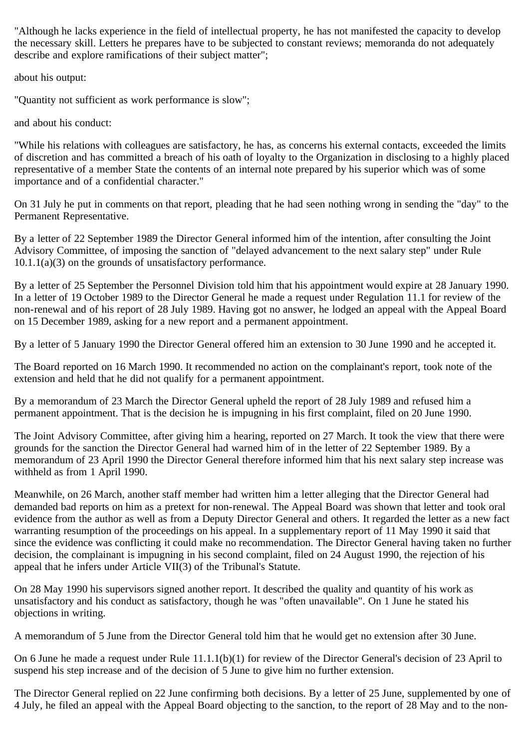"Although he lacks experience in the field of intellectual property, he has not manifested the capacity to develop the necessary skill. Letters he prepares have to be subjected to constant reviews; memoranda do not adequately describe and explore ramifications of their subject matter";

about his output:

"Quantity not sufficient as work performance is slow";

and about his conduct:

"While his relations with colleagues are satisfactory, he has, as concerns his external contacts, exceeded the limits of discretion and has committed a breach of his oath of loyalty to the Organization in disclosing to a highly placed representative of a member State the contents of an internal note prepared by his superior which was of some importance and of a confidential character."

On 31 July he put in comments on that report, pleading that he had seen nothing wrong in sending the "day" to the Permanent Representative.

By a letter of 22 September 1989 the Director General informed him of the intention, after consulting the Joint Advisory Committee, of imposing the sanction of "delayed advancement to the next salary step" under Rule 10.1.1(a)(3) on the grounds of unsatisfactory performance.

By a letter of 25 September the Personnel Division told him that his appointment would expire at 28 January 1990. In a letter of 19 October 1989 to the Director General he made a request under Regulation 11.1 for review of the non-renewal and of his report of 28 July 1989. Having got no answer, he lodged an appeal with the Appeal Board on 15 December 1989, asking for a new report and a permanent appointment.

By a letter of 5 January 1990 the Director General offered him an extension to 30 June 1990 and he accepted it.

The Board reported on 16 March 1990. It recommended no action on the complainant's report, took note of the extension and held that he did not qualify for a permanent appointment.

By a memorandum of 23 March the Director General upheld the report of 28 July 1989 and refused him a permanent appointment. That is the decision he is impugning in his first complaint, filed on 20 June 1990.

The Joint Advisory Committee, after giving him a hearing, reported on 27 March. It took the view that there were grounds for the sanction the Director General had warned him of in the letter of 22 September 1989. By a memorandum of 23 April 1990 the Director General therefore informed him that his next salary step increase was withheld as from 1 April 1990.

Meanwhile, on 26 March, another staff member had written him a letter alleging that the Director General had demanded bad reports on him as a pretext for non-renewal. The Appeal Board was shown that letter and took oral evidence from the author as well as from a Deputy Director General and others. It regarded the letter as a new fact warranting resumption of the proceedings on his appeal. In a supplementary report of 11 May 1990 it said that since the evidence was conflicting it could make no recommendation. The Director General having taken no further decision, the complainant is impugning in his second complaint, filed on 24 August 1990, the rejection of his appeal that he infers under Article VII(3) of the Tribunal's Statute.

On 28 May 1990 his supervisors signed another report. It described the quality and quantity of his work as unsatisfactory and his conduct as satisfactory, though he was "often unavailable". On 1 June he stated his objections in writing.

A memorandum of 5 June from the Director General told him that he would get no extension after 30 June.

On 6 June he made a request under Rule 11.1.1(b)(1) for review of the Director General's decision of 23 April to suspend his step increase and of the decision of 5 June to give him no further extension.

The Director General replied on 22 June confirming both decisions. By a letter of 25 June, supplemented by one of 4 July, he filed an appeal with the Appeal Board objecting to the sanction, to the report of 28 May and to the non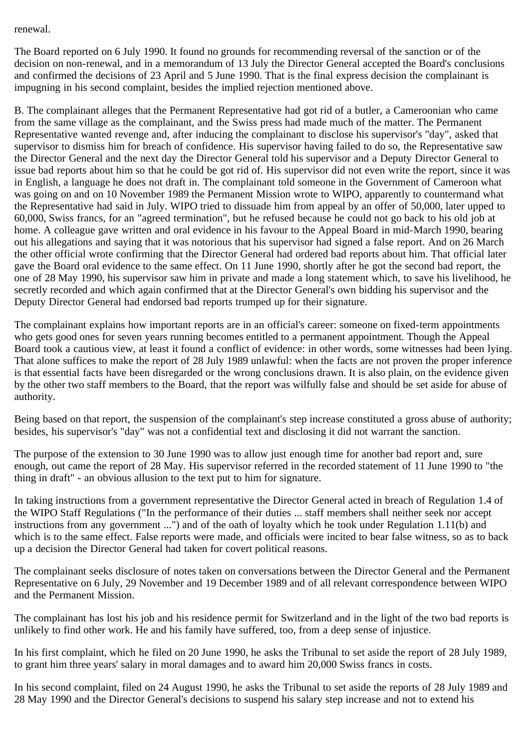renewal.

The Board reported on 6 July 1990. It found no grounds for recommending reversal of the sanction or of the decision on non-renewal, and in a memorandum of 13 July the Director General accepted the Board's conclusions and confirmed the decisions of 23 April and 5 June 1990. That is the final express decision the complainant is impugning in his second complaint, besides the implied rejection mentioned above.

B. The complainant alleges that the Permanent Representative had got rid of a butler, a Cameroonian who came from the same village as the complainant, and the Swiss press had made much of the matter. The Permanent Representative wanted revenge and, after inducing the complainant to disclose his supervisor's "day", asked that supervisor to dismiss him for breach of confidence. His supervisor having failed to do so, the Representative saw the Director General and the next day the Director General told his supervisor and a Deputy Director General to issue bad reports about him so that he could be got rid of. His supervisor did not even write the report, since it was in English, a language he does not draft in. The complainant told someone in the Government of Cameroon what was going on and on 10 November 1989 the Permanent Mission wrote to WIPO, apparently to countermand what the Representative had said in July. WIPO tried to dissuade him from appeal by an offer of 50,000, later upped to 60,000, Swiss francs, for an "agreed termination", but he refused because he could not go back to his old job at home. A colleague gave written and oral evidence in his favour to the Appeal Board in mid-March 1990, bearing out his allegations and saying that it was notorious that his supervisor had signed a false report. And on 26 March the other official wrote confirming that the Director General had ordered bad reports about him. That official later gave the Board oral evidence to the same effect. On 11 June 1990, shortly after he got the second bad report, the one of 28 May 1990, his supervisor saw him in private and made a long statement which, to save his livelihood, he secretly recorded and which again confirmed that at the Director General's own bidding his supervisor and the Deputy Director General had endorsed bad reports trumped up for their signature.

The complainant explains how important reports are in an official's career: someone on fixed-term appointments who gets good ones for seven years running becomes entitled to a permanent appointment. Though the Appeal Board took a cautious view, at least it found a conflict of evidence: in other words, some witnesses had been lying. That alone suffices to make the report of 28 July 1989 unlawful: when the facts are not proven the proper inference is that essential facts have been disregarded or the wrong conclusions drawn. It is also plain, on the evidence given by the other two staff members to the Board, that the report was wilfully false and should be set aside for abuse of authority.

Being based on that report, the suspension of the complainant's step increase constituted a gross abuse of authority; besides, his supervisor's "day" was not a confidential text and disclosing it did not warrant the sanction.

The purpose of the extension to 30 June 1990 was to allow just enough time for another bad report and, sure enough, out came the report of 28 May. His supervisor referred in the recorded statement of 11 June 1990 to "the thing in draft" - an obvious allusion to the text put to him for signature.

In taking instructions from a government representative the Director General acted in breach of Regulation 1.4 of the WIPO Staff Regulations ("In the performance of their duties ... staff members shall neither seek nor accept instructions from any government ...") and of the oath of loyalty which he took under Regulation 1.11(b) and which is to the same effect. False reports were made, and officials were incited to bear false witness, so as to back up a decision the Director General had taken for covert political reasons.

The complainant seeks disclosure of notes taken on conversations between the Director General and the Permanent Representative on 6 July, 29 November and 19 December 1989 and of all relevant correspondence between WIPO and the Permanent Mission.

The complainant has lost his job and his residence permit for Switzerland and in the light of the two bad reports is unlikely to find other work. He and his family have suffered, too, from a deep sense of injustice.

In his first complaint, which he filed on 20 June 1990, he asks the Tribunal to set aside the report of 28 July 1989, to grant him three years' salary in moral damages and to award him 20,000 Swiss francs in costs.

In his second complaint, filed on 24 August 1990, he asks the Tribunal to set aside the reports of 28 July 1989 and 28 May 1990 and the Director General's decisions to suspend his salary step increase and not to extend his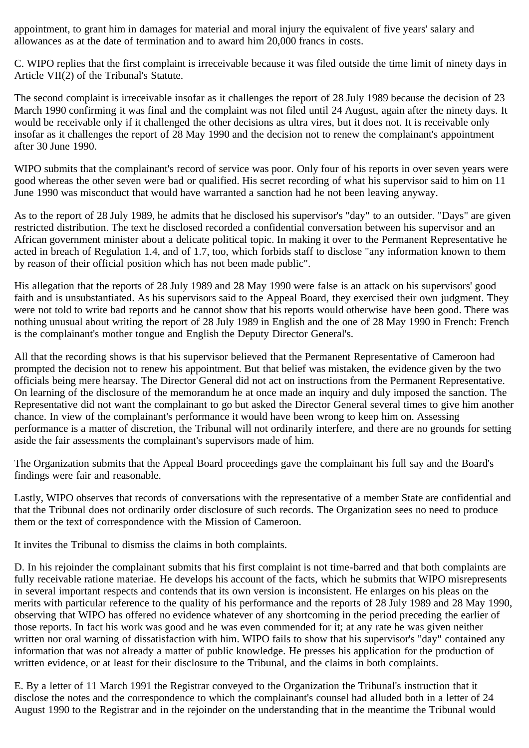appointment, to grant him in damages for material and moral injury the equivalent of five years' salary and allowances as at the date of termination and to award him 20,000 francs in costs.

C. WIPO replies that the first complaint is irreceivable because it was filed outside the time limit of ninety days in Article VII(2) of the Tribunal's Statute.

The second complaint is irreceivable insofar as it challenges the report of 28 July 1989 because the decision of 23 March 1990 confirming it was final and the complaint was not filed until 24 August, again after the ninety days. It would be receivable only if it challenged the other decisions as ultra vires, but it does not. It is receivable only insofar as it challenges the report of 28 May 1990 and the decision not to renew the complainant's appointment after 30 June 1990.

WIPO submits that the complainant's record of service was poor. Only four of his reports in over seven years were good whereas the other seven were bad or qualified. His secret recording of what his supervisor said to him on 11 June 1990 was misconduct that would have warranted a sanction had he not been leaving anyway.

As to the report of 28 July 1989, he admits that he disclosed his supervisor's "day" to an outsider. "Days" are given restricted distribution. The text he disclosed recorded a confidential conversation between his supervisor and an African government minister about a delicate political topic. In making it over to the Permanent Representative he acted in breach of Regulation 1.4, and of 1.7, too, which forbids staff to disclose "any information known to them by reason of their official position which has not been made public".

His allegation that the reports of 28 July 1989 and 28 May 1990 were false is an attack on his supervisors' good faith and is unsubstantiated. As his supervisors said to the Appeal Board, they exercised their own judgment. They were not told to write bad reports and he cannot show that his reports would otherwise have been good. There was nothing unusual about writing the report of 28 July 1989 in English and the one of 28 May 1990 in French: French is the complainant's mother tongue and English the Deputy Director General's.

All that the recording shows is that his supervisor believed that the Permanent Representative of Cameroon had prompted the decision not to renew his appointment. But that belief was mistaken, the evidence given by the two officials being mere hearsay. The Director General did not act on instructions from the Permanent Representative. On learning of the disclosure of the memorandum he at once made an inquiry and duly imposed the sanction. The Representative did not want the complainant to go but asked the Director General several times to give him another chance. In view of the complainant's performance it would have been wrong to keep him on. Assessing performance is a matter of discretion, the Tribunal will not ordinarily interfere, and there are no grounds for setting aside the fair assessments the complainant's supervisors made of him.

The Organization submits that the Appeal Board proceedings gave the complainant his full say and the Board's findings were fair and reasonable.

Lastly, WIPO observes that records of conversations with the representative of a member State are confidential and that the Tribunal does not ordinarily order disclosure of such records. The Organization sees no need to produce them or the text of correspondence with the Mission of Cameroon.

It invites the Tribunal to dismiss the claims in both complaints.

D. In his rejoinder the complainant submits that his first complaint is not time-barred and that both complaints are fully receivable ratione materiae. He develops his account of the facts, which he submits that WIPO misrepresents in several important respects and contends that its own version is inconsistent. He enlarges on his pleas on the merits with particular reference to the quality of his performance and the reports of 28 July 1989 and 28 May 1990, observing that WIPO has offered no evidence whatever of any shortcoming in the period preceding the earlier of those reports. In fact his work was good and he was even commended for it; at any rate he was given neither written nor oral warning of dissatisfaction with him. WIPO fails to show that his supervisor's "day" contained any information that was not already a matter of public knowledge. He presses his application for the production of written evidence, or at least for their disclosure to the Tribunal, and the claims in both complaints.

E. By a letter of 11 March 1991 the Registrar conveyed to the Organization the Tribunal's instruction that it disclose the notes and the correspondence to which the complainant's counsel had alluded both in a letter of 24 August 1990 to the Registrar and in the rejoinder on the understanding that in the meantime the Tribunal would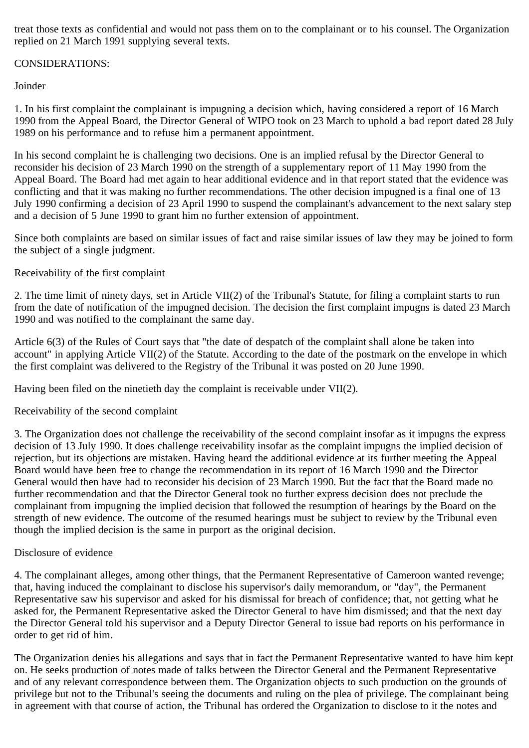treat those texts as confidential and would not pass them on to the complainant or to his counsel. The Organization replied on 21 March 1991 supplying several texts.

# CONSIDERATIONS:

Joinder

1. In his first complaint the complainant is impugning a decision which, having considered a report of 16 March 1990 from the Appeal Board, the Director General of WIPO took on 23 March to uphold a bad report dated 28 July 1989 on his performance and to refuse him a permanent appointment.

In his second complaint he is challenging two decisions. One is an implied refusal by the Director General to reconsider his decision of 23 March 1990 on the strength of a supplementary report of 11 May 1990 from the Appeal Board. The Board had met again to hear additional evidence and in that report stated that the evidence was conflicting and that it was making no further recommendations. The other decision impugned is a final one of 13 July 1990 confirming a decision of 23 April 1990 to suspend the complainant's advancement to the next salary step and a decision of 5 June 1990 to grant him no further extension of appointment.

Since both complaints are based on similar issues of fact and raise similar issues of law they may be joined to form the subject of a single judgment.

## Receivability of the first complaint

2. The time limit of ninety days, set in Article VII(2) of the Tribunal's Statute, for filing a complaint starts to run from the date of notification of the impugned decision. The decision the first complaint impugns is dated 23 March 1990 and was notified to the complainant the same day.

Article 6(3) of the Rules of Court says that "the date of despatch of the complaint shall alone be taken into account" in applying Article VII(2) of the Statute. According to the date of the postmark on the envelope in which the first complaint was delivered to the Registry of the Tribunal it was posted on 20 June 1990.

Having been filed on the ninetieth day the complaint is receivable under VII(2).

Receivability of the second complaint

3. The Organization does not challenge the receivability of the second complaint insofar as it impugns the express decision of 13 July 1990. It does challenge receivability insofar as the complaint impugns the implied decision of rejection, but its objections are mistaken. Having heard the additional evidence at its further meeting the Appeal Board would have been free to change the recommendation in its report of 16 March 1990 and the Director General would then have had to reconsider his decision of 23 March 1990. But the fact that the Board made no further recommendation and that the Director General took no further express decision does not preclude the complainant from impugning the implied decision that followed the resumption of hearings by the Board on the strength of new evidence. The outcome of the resumed hearings must be subject to review by the Tribunal even though the implied decision is the same in purport as the original decision.

## Disclosure of evidence

4. The complainant alleges, among other things, that the Permanent Representative of Cameroon wanted revenge; that, having induced the complainant to disclose his supervisor's daily memorandum, or "day", the Permanent Representative saw his supervisor and asked for his dismissal for breach of confidence; that, not getting what he asked for, the Permanent Representative asked the Director General to have him dismissed; and that the next day the Director General told his supervisor and a Deputy Director General to issue bad reports on his performance in order to get rid of him.

The Organization denies his allegations and says that in fact the Permanent Representative wanted to have him kept on. He seeks production of notes made of talks between the Director General and the Permanent Representative and of any relevant correspondence between them. The Organization objects to such production on the grounds of privilege but not to the Tribunal's seeing the documents and ruling on the plea of privilege. The complainant being in agreement with that course of action, the Tribunal has ordered the Organization to disclose to it the notes and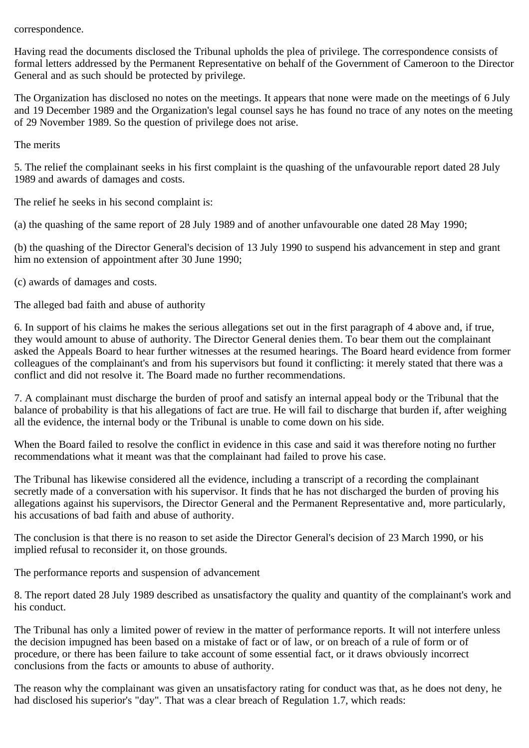correspondence.

Having read the documents disclosed the Tribunal upholds the plea of privilege. The correspondence consists of formal letters addressed by the Permanent Representative on behalf of the Government of Cameroon to the Director General and as such should be protected by privilege.

The Organization has disclosed no notes on the meetings. It appears that none were made on the meetings of 6 July and 19 December 1989 and the Organization's legal counsel says he has found no trace of any notes on the meeting of 29 November 1989. So the question of privilege does not arise.

The merits

5. The relief the complainant seeks in his first complaint is the quashing of the unfavourable report dated 28 July 1989 and awards of damages and costs.

The relief he seeks in his second complaint is:

(a) the quashing of the same report of 28 July 1989 and of another unfavourable one dated 28 May 1990;

(b) the quashing of the Director General's decision of 13 July 1990 to suspend his advancement in step and grant him no extension of appointment after 30 June 1990;

(c) awards of damages and costs.

The alleged bad faith and abuse of authority

6. In support of his claims he makes the serious allegations set out in the first paragraph of 4 above and, if true, they would amount to abuse of authority. The Director General denies them. To bear them out the complainant asked the Appeals Board to hear further witnesses at the resumed hearings. The Board heard evidence from former colleagues of the complainant's and from his supervisors but found it conflicting: it merely stated that there was a conflict and did not resolve it. The Board made no further recommendations.

7. A complainant must discharge the burden of proof and satisfy an internal appeal body or the Tribunal that the balance of probability is that his allegations of fact are true. He will fail to discharge that burden if, after weighing all the evidence, the internal body or the Tribunal is unable to come down on his side.

When the Board failed to resolve the conflict in evidence in this case and said it was therefore noting no further recommendations what it meant was that the complainant had failed to prove his case.

The Tribunal has likewise considered all the evidence, including a transcript of a recording the complainant secretly made of a conversation with his supervisor. It finds that he has not discharged the burden of proving his allegations against his supervisors, the Director General and the Permanent Representative and, more particularly, his accusations of bad faith and abuse of authority.

The conclusion is that there is no reason to set aside the Director General's decision of 23 March 1990, or his implied refusal to reconsider it, on those grounds.

The performance reports and suspension of advancement

8. The report dated 28 July 1989 described as unsatisfactory the quality and quantity of the complainant's work and his conduct.

The Tribunal has only a limited power of review in the matter of performance reports. It will not interfere unless the decision impugned has been based on a mistake of fact or of law, or on breach of a rule of form or of procedure, or there has been failure to take account of some essential fact, or it draws obviously incorrect conclusions from the facts or amounts to abuse of authority.

The reason why the complainant was given an unsatisfactory rating for conduct was that, as he does not deny, he had disclosed his superior's "day". That was a clear breach of Regulation 1.7, which reads: